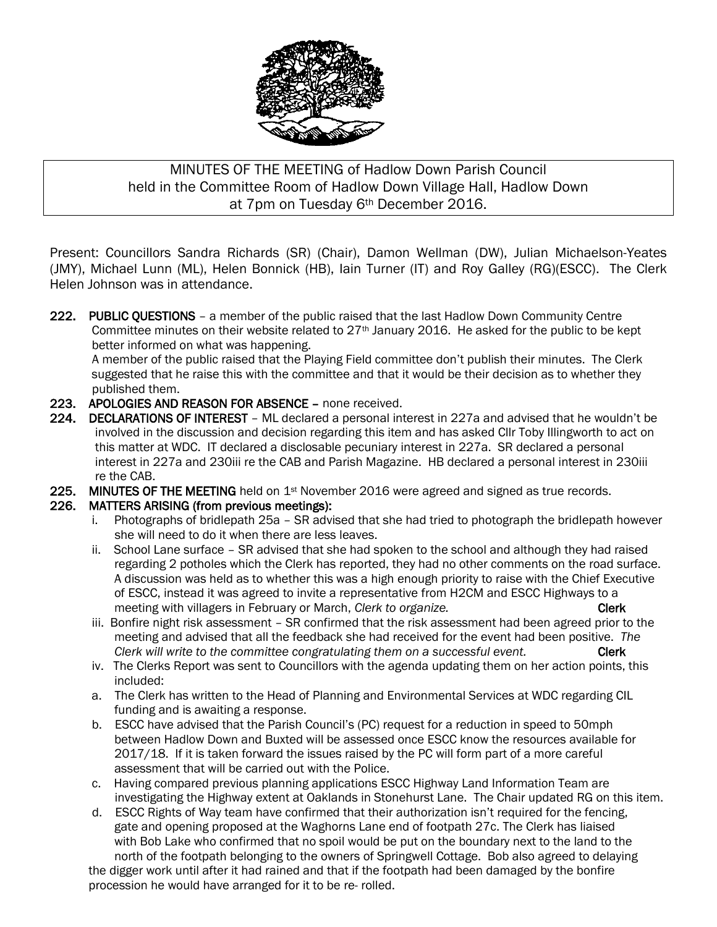

# MINUTES OF THE MEETING of Hadlow Down Parish Council held in the Committee Room of Hadlow Down Village Hall, Hadlow Down at 7pm on Tuesday 6th December 2016.

Present: Councillors Sandra Richards (SR) (Chair), Damon Wellman (DW), Julian Michaelson-Yeates (JMY), Michael Lunn (ML), Helen Bonnick (HB), Iain Turner (IT) and Roy Galley (RG)(ESCC). The Clerk Helen Johnson was in attendance.

222. PUBLIC QUESTIONS – a member of the public raised that the last Hadlow Down Community Centre Committee minutes on their website related to  $27<sup>th</sup>$  January 2016. He asked for the public to be kept better informed on what was happening.

A member of the public raised that the Playing Field committee don't publish their minutes. The Clerk suggested that he raise this with the committee and that it would be their decision as to whether they published them.

- 223. APOLOGIES AND REASON FOR ABSENCE none received.
- 224. DECLARATIONS OF INTEREST ML declared a personal interest in 227a and advised that he wouldn't be involved in the discussion and decision regarding this item and has asked Cllr Toby Illingworth to act on this matter at WDC. IT declared a disclosable pecuniary interest in 227a. SR declared a personal interest in 227a and 230iii re the CAB and Parish Magazine. HB declared a personal interest in 230iii re the CAB.
- 225. MINUTES OF THE MEETING held on  $1st$  November 2016 were agreed and signed as true records.

#### 226. MATTERS ARISING (from previous meetings):

- i. Photographs of bridlepath 25a SR advised that she had tried to photograph the bridlepath however she will need to do it when there are less leaves.
- ii. School Lane surface SR advised that she had spoken to the school and although they had raised regarding 2 potholes which the Clerk has reported, they had no other comments on the road surface. A discussion was held as to whether this was a high enough priority to raise with the Chief Executive of ESCC, instead it was agreed to invite a representative from H2CM and ESCC Highways to a meeting with villagers in February or March, *Clerk to organize.* Clerk **Clerk**
- iii. Bonfire night risk assessment SR confirmed that the risk assessment had been agreed prior to the meeting and advised that all the feedback she had received for the event had been positive. *The Clerk will write to the committee congratulating them on a successful event.* Clerk
- iv. The Clerks Report was sent to Councillors with the agenda updating them on her action points, this included:
- a. The Clerk has written to the Head of Planning and Environmental Services at WDC regarding CIL funding and is awaiting a response.
- b. ESCC have advised that the Parish Council's (PC) request for a reduction in speed to 50mph between Hadlow Down and Buxted will be assessed once ESCC know the resources available for 2017/18. If it is taken forward the issues raised by the PC will form part of a more careful assessment that will be carried out with the Police.
- c. Having compared previous planning applications ESCC Highway Land Information Team are investigating the Highway extent at Oaklands in Stonehurst Lane. The Chair updated RG on this item.
- d. ESCC Rights of Way team have confirmed that their authorization isn't required for the fencing, gate and opening proposed at the Waghorns Lane end of footpath 27c. The Clerk has liaised with Bob Lake who confirmed that no spoil would be put on the boundary next to the land to the north of the footpath belonging to the owners of Springwell Cottage. Bob also agreed to delaying

 the digger work until after it had rained and that if the footpath had been damaged by the bonfire procession he would have arranged for it to be re- rolled.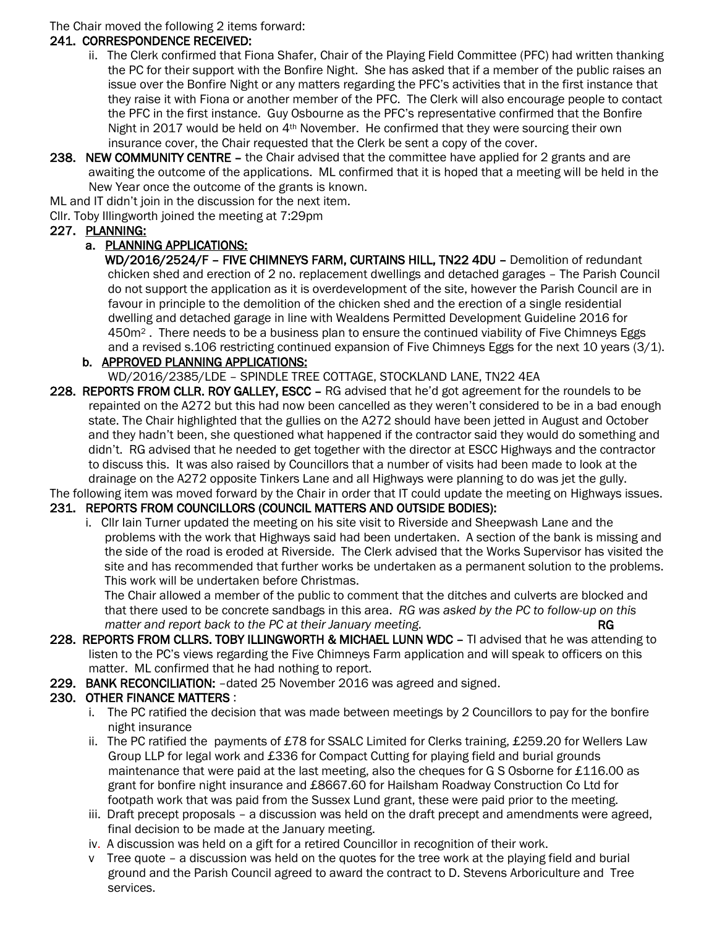The Chair moved the following 2 items forward:

#### 241. CORRESPONDENCE RECEIVED:

- ii. The Clerk confirmed that Fiona Shafer, Chair of the Playing Field Committee (PFC) had written thanking the PC for their support with the Bonfire Night. She has asked that if a member of the public raises an issue over the Bonfire Night or any matters regarding the PFC's activities that in the first instance that they raise it with Fiona or another member of the PFC. The Clerk will also encourage people to contact the PFC in the first instance. Guy Osbourne as the PFC's representative confirmed that the Bonfire Night in 2017 would be held on 4th November. He confirmed that they were sourcing their own insurance cover, the Chair requested that the Clerk be sent a copy of the cover.
- 238. NEW COMMUNITY CENTRE the Chair advised that the committee have applied for 2 grants and are awaiting the outcome of the applications. ML confirmed that it is hoped that a meeting will be held in the New Year once the outcome of the grants is known.

ML and IT didn't join in the discussion for the next item.

Cllr. Toby Illingworth joined the meeting at 7:29pm

#### 227. PLANNING:

#### a. PLANNING APPLICATIONS:

 WD/2016/2524/F – FIVE CHIMNEYS FARM, CURTAINS HILL, TN22 4DU – Demolition of redundant chicken shed and erection of 2 no. replacement dwellings and detached garages – The Parish Council do not support the application as it is overdevelopment of the site, however the Parish Council are in favour in principle to the demolition of the chicken shed and the erection of a single residential dwelling and detached garage in line with Wealdens Permitted Development Guideline 2016 for 450m<sup>2</sup> . There needs to be a business plan to ensure the continued viability of Five Chimneys Eggs and a revised s.106 restricting continued expansion of Five Chimneys Eggs for the next 10 years (3/1).

#### b. APPROVED PLANNING APPLICATIONS:

WD/2016/2385/LDE – SPINDLE TREE COTTAGE, STOCKLAND LANE, TN22 4EA

228. REPORTS FROM CLLR. ROY GALLEY, ESCC – RG advised that he'd got agreement for the roundels to be repainted on the A272 but this had now been cancelled as they weren't considered to be in a bad enough state. The Chair highlighted that the gullies on the A272 should have been jetted in August and October and they hadn't been, she questioned what happened if the contractor said they would do something and didn't. RG advised that he needed to get together with the director at ESCC Highways and the contractor to discuss this. It was also raised by Councillors that a number of visits had been made to look at the drainage on the A272 opposite Tinkers Lane and all Highways were planning to do was jet the gully.

The following item was moved forward by the Chair in order that IT could update the meeting on Highways issues.

## 231. REPORTS FROM COUNCILLORS (COUNCIL MATTERS AND OUTSIDE BODIES):

 i. Cllr Iain Turner updated the meeting on his site visit to Riverside and Sheepwash Lane and the problems with the work that Highways said had been undertaken. A section of the bank is missing and the side of the road is eroded at Riverside. The Clerk advised that the Works Supervisor has visited the site and has recommended that further works be undertaken as a permanent solution to the problems. This work will be undertaken before Christmas.

 The Chair allowed a member of the public to comment that the ditches and culverts are blocked and that there used to be concrete sandbags in this area. *RG was asked by the PC to follow-up on this matter and report back to the PC at their January meeting.* The same of the RG

- 228. REPORTS FROM CLLRS. TOBY ILLINGWORTH & MICHAEL LUNN WDC TI advised that he was attending to listen to the PC's views regarding the Five Chimneys Farm application and will speak to officers on this matter. ML confirmed that he had nothing to report.
- 229. BANK RECONCILIATION: –dated 25 November 2016 was agreed and signed.

## 230. OTHER FINANCE MATTERS :

- i. The PC ratified the decision that was made between meetings by 2 Councillors to pay for the bonfire night insurance
- ii. The PC ratified the payments of £78 for SSALC Limited for Clerks training, £259.20 for Wellers Law Group LLP for legal work and £336 for Compact Cutting for playing field and burial grounds maintenance that were paid at the last meeting, also the cheques for G S Osborne for £116.00 as grant for bonfire night insurance and £8667.60 for Hailsham Roadway Construction Co Ltd for footpath work that was paid from the Sussex Lund grant, these were paid prior to the meeting.
- iii. Draft precept proposals a discussion was held on the draft precept and amendments were agreed, final decision to be made at the January meeting.
- iv. A discussion was held on a gift for a retired Councillor in recognition of their work.
- v Tree quote a discussion was held on the quotes for the tree work at the playing field and burial ground and the Parish Council agreed to award the contract to D. Stevens Arboriculture and Tree services.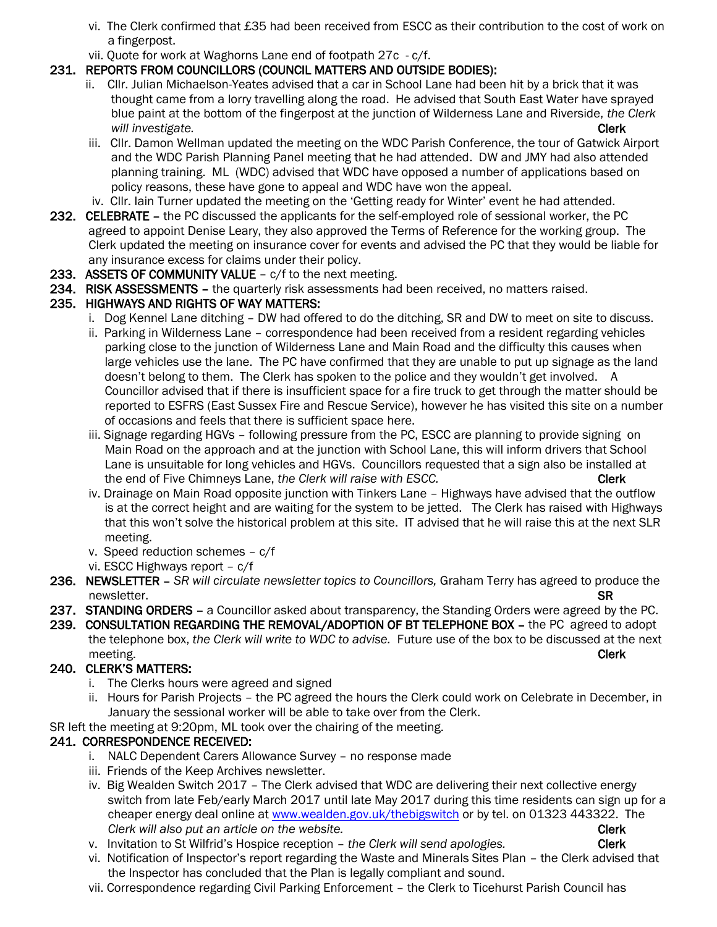- vi. The Clerk confirmed that £35 had been received from ESCC as their contribution to the cost of work on a fingerpost.
- vii. Quote for work at Waghorns Lane end of footpath 27c c/f.

## 231. REPORTS FROM COUNCILLORS (COUNCIL MATTERS AND OUTSIDE BODIES):

- ii. Cllr. Julian Michaelson-Yeates advised that a car in School Lane had been hit by a brick that it was thought came from a lorry travelling along the road. He advised that South East Water have sprayed blue paint at the bottom of the fingerpost at the junction of Wilderness Lane and Riverside, *the Clerk will investigate.* Clerk
- iii. Cllr. Damon Wellman updated the meeting on the WDC Parish Conference, the tour of Gatwick Airport and the WDC Parish Planning Panel meeting that he had attended. DW and JMY had also attended planning training. ML (WDC) advised that WDC have opposed a number of applications based on policy reasons, these have gone to appeal and WDC have won the appeal.
- iv. Cllr. Iain Turner updated the meeting on the 'Getting ready for Winter' event he had attended.
- 232. CELEBRATE the PC discussed the applicants for the self-employed role of sessional worker, the PC agreed to appoint Denise Leary, they also approved the Terms of Reference for the working group. The Clerk updated the meeting on insurance cover for events and advised the PC that they would be liable for any insurance excess for claims under their policy.
- 233. ASSETS OF COMMUNITY VALUE c/f to the next meeting.
- 234. RISK ASSESSMENTS the quarterly risk assessments had been received, no matters raised.

## 235. HIGHWAYS AND RIGHTS OF WAY MATTERS:

- i. Dog Kennel Lane ditching DW had offered to do the ditching, SR and DW to meet on site to discuss.
- ii. Parking in Wilderness Lane correspondence had been received from a resident regarding vehicles parking close to the junction of Wilderness Lane and Main Road and the difficulty this causes when large vehicles use the lane. The PC have confirmed that they are unable to put up signage as the land doesn't belong to them. The Clerk has spoken to the police and they wouldn't get involved. A Councillor advised that if there is insufficient space for a fire truck to get through the matter should be reported to ESFRS (East Sussex Fire and Rescue Service), however he has visited this site on a number of occasions and feels that there is sufficient space here.
- iii. Signage regarding HGVs following pressure from the PC, ESCC are planning to provide signing on Main Road on the approach and at the junction with School Lane, this will inform drivers that School Lane is unsuitable for long vehicles and HGVs. Councillors requested that a sign also be installed at the end of Five Chimneys Lane, *the Clerk will raise with ESCC*.
- iv. Drainage on Main Road opposite junction with Tinkers Lane Highways have advised that the outflow is at the correct height and are waiting for the system to be jetted. The Clerk has raised with Highways that this won't solve the historical problem at this site. IT advised that he will raise this at the next SLR meeting.
- v. Speed reduction schemes c/f
- vi. ESCC Highways report c/f
- 236. NEWSLETTER *SR will circulate newsletter topics to Councillors,* Graham Terry has agreed to produce the newsletter. SR
- 237. STANDING ORDERS a Councillor asked about transparency, the Standing Orders were agreed by the PC.
- 239. CONSULTATION REGARDING THE REMOVAL/ADOPTION OF BT TELEPHONE BOX the PC agreed to adopt the telephone box, *the Clerk will write to WDC to advise.* Future use of the box to be discussed at the next meeting. Clerk

## 240. CLERK'S MATTERS:

- i. The Clerks hours were agreed and signed
- ii. Hours for Parish Projects the PC agreed the hours the Clerk could work on Celebrate in December, in January the sessional worker will be able to take over from the Clerk.

SR left the meeting at 9:20pm, ML took over the chairing of the meeting.

## 241. CORRESPONDENCE RECEIVED:

- i. NALC Dependent Carers Allowance Survey no response made
- iii. Friends of the Keep Archives newsletter.
- iv. Big Wealden Switch 2017 The Clerk advised that WDC are delivering their next collective energy switch from late Feb/early March 2017 until late May 2017 during this time residents can sign up for a cheaper energy deal online at [www.wealden.gov.uk/thebigswitch](http://www.wealden.gov.uk/thebigswitch) or by tel. on 01323 443322. The *Clerk will also put an article on the website.* **Clerk contained a set of the Clerk Clerk clerk clerk clerk clerk clerk clerk clerk clerk clerk clerk clerk clerk clerk clerk clerk clerk clerk clerk clerk clerk clerk clerk**
- v. Invitation to St Wilfrid's Hospice reception *the Clerk will send apologies.* Clerk
- vi. Notification of Inspector's report regarding the Waste and Minerals Sites Plan the Clerk advised that the Inspector has concluded that the Plan is legally compliant and sound.
- vii. Correspondence regarding Civil Parking Enforcement the Clerk to Ticehurst Parish Council has